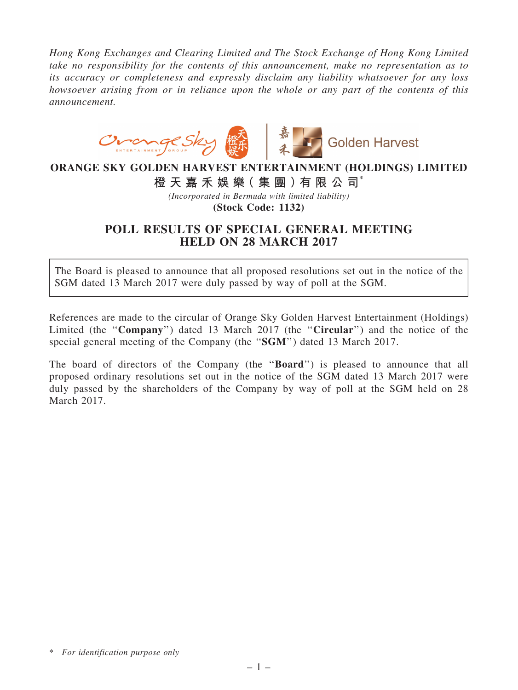*Hong Kong Exchanges and Clearing Limited and The Stock Exchange of Hong Kong Limited take no responsibility for the contents of this announcement, make no representation as to its accuracy or completeness and expressly disclaim any liability whatsoever for any loss howsoever arising from or in reliance upon the whole or any part of the contents of this announcement.*



## ORANGE SKY GOLDEN HARVEST ENTERTAINMENT (HOLDINGS) LIMITED

橙 天 嘉 禾 娛 樂( 集 團 )有 限 公 司\*

*(Incorporated in Bermuda with limited liability)*

(Stock Code: 1132)

## POLL RESULTS OF SPECIAL GENERAL MEETING HELD ON 28 MARCH 2017

The Board is pleased to announce that all proposed resolutions set out in the notice of the SGM dated 13 March 2017 were duly passed by way of poll at the SGM.

References are made to the circular of Orange Sky Golden Harvest Entertainment (Holdings) Limited (the "Company") dated 13 March 2017 (the "Circular") and the notice of the special general meeting of the Company (the "SGM") dated 13 March 2017.

The board of directors of the Company (the "**Board**") is pleased to announce that all proposed ordinary resolutions set out in the notice of the SGM dated 13 March 2017 were duly passed by the shareholders of the Company by way of poll at the SGM held on 28 March 2017.

<sup>\*</sup> *For identification purpose only*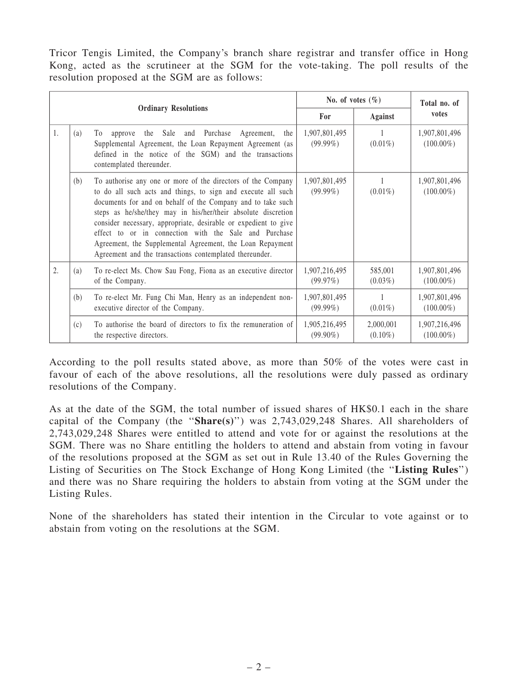Tricor Tengis Limited, the Company's branch share registrar and transfer office in Hong Kong, acted as the scrutineer at the SGM for the vote-taking. The poll results of the resolution proposed at the SGM are as follows:

|                             |     | No. of votes $(\% )$                                                                                                                                                                                                                                                                                                                                                                                                                                                                                             |                              | Total no. of            |                               |
|-----------------------------|-----|------------------------------------------------------------------------------------------------------------------------------------------------------------------------------------------------------------------------------------------------------------------------------------------------------------------------------------------------------------------------------------------------------------------------------------------------------------------------------------------------------------------|------------------------------|-------------------------|-------------------------------|
| <b>Ordinary Resolutions</b> |     |                                                                                                                                                                                                                                                                                                                                                                                                                                                                                                                  | For                          | Against                 | votes                         |
| 1.                          | (a) | approve the Sale and Purchase Agreement, the<br>To<br>Supplemental Agreement, the Loan Repayment Agreement (as<br>defined in the notice of the SGM) and the transactions<br>contemplated thereunder.                                                                                                                                                                                                                                                                                                             | 1,907,801,495<br>$(99.99\%)$ | $(0.01\%)$              | 1,907,801,496<br>$(100.00\%)$ |
|                             | (b) | To authorise any one or more of the directors of the Company<br>to do all such acts and things, to sign and execute all such<br>documents for and on behalf of the Company and to take such<br>steps as he/she/they may in his/her/their absolute discretion<br>consider necessary, appropriate, desirable or expedient to give<br>effect to or in connection with the Sale and Purchase<br>Agreement, the Supplemental Agreement, the Loan Repayment<br>Agreement and the transactions contemplated thereunder. | 1,907,801,495<br>$(99.99\%)$ | $(0.01\%)$              | 1,907,801,496<br>$(100.00\%)$ |
| 2.                          | (a) | To re-elect Ms. Chow Sau Fong, Fiona as an executive director<br>of the Company.                                                                                                                                                                                                                                                                                                                                                                                                                                 | 1,907,216,495<br>(99.97%)    | 585,001<br>$(0.03\%)$   | 1,907,801,496<br>$(100.00\%)$ |
|                             | (b) | To re-elect Mr. Fung Chi Man, Henry as an independent non-<br>executive director of the Company.                                                                                                                                                                                                                                                                                                                                                                                                                 | 1,907,801,495<br>$(99.99\%)$ | $(0.01\%)$              | 1,907,801,496<br>$(100.00\%)$ |
|                             | (c) | To authorise the board of directors to fix the remuneration of<br>the respective directors.                                                                                                                                                                                                                                                                                                                                                                                                                      | 1,905,216,495<br>$(99.90\%)$ | 2,000,001<br>$(0.10\%)$ | 1,907,216,496<br>$(100.00\%)$ |

According to the poll results stated above, as more than 50% of the votes were cast in favour of each of the above resolutions, all the resolutions were duly passed as ordinary resolutions of the Company.

As at the date of the SGM, the total number of issued shares of HK\$0.1 each in the share capital of the Company (the " $Share(s)$ ") was 2,743,029,248 Shares. All shareholders of 2,743,029,248 Shares were entitled to attend and vote for or against the resolutions at the SGM. There was no Share entitling the holders to attend and abstain from voting in favour of the resolutions proposed at the SGM as set out in Rule 13.40 of the Rules Governing the Listing of Securities on The Stock Exchange of Hong Kong Limited (the ''Listing Rules'') and there was no Share requiring the holders to abstain from voting at the SGM under the Listing Rules.

None of the shareholders has stated their intention in the Circular to vote against or to abstain from voting on the resolutions at the SGM.